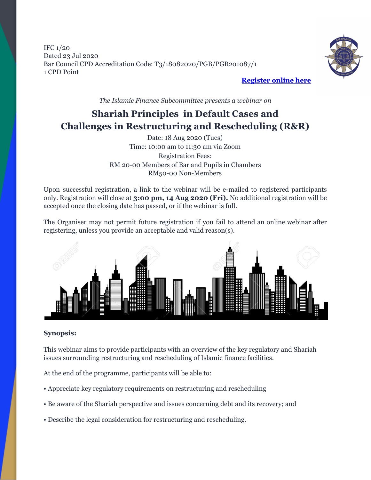IFC 1/20 Dated 23 Jul 2020 Bar Council CPD Accreditation Code: T3/18082020/PGB/PGB201087/1 1 CPD Point



**[Register](https://forms.gle/8AZ5byJTBU9bUe2G7) online here**

*The Islamic Finance Subcommittee presents a webinar on*

## **Shariah Principles in Default Cases and Challenges in Restructuring and Rescheduling (R&R)**

Date: 18 Aug 2020 (Tues) Time: 10:00 am to 11:30 am via Zoom Registration Fees: RM 20-00 Members of Bar and Pupils in Chambers RM50-00 Non-Members

Upon successful registration, a link to the webinar will be e-mailed to registered participants only. Registration will close at **3:00 pm, 14 Aug 2020 (Fri).** No additional registration will be accepted once the closing date has passed, or if the webinar is full.

The Organiser may not permit future registration if you fail to attend an online webinar after registering, unless you provide an acceptable and valid reason(s).



#### **Synopsis:**

This webinar aims to provide participants with an overview of the key regulatory and Shariah issues surrounding restructuring and rescheduling of Islamic finance facilities.

At the end of the programme, participants will be able to:

- Appreciate key regulatory requirements on restructuring and rescheduling
- Be aware of the Shariah perspective and issues concerning debt and its recovery; and
- Describe the legal consideration for restructuring and rescheduling.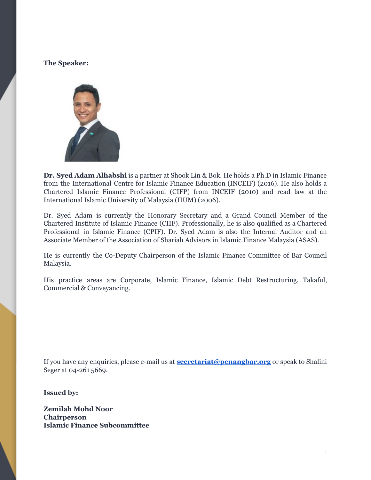#### **The Speaker:**



**Dr. Syed Adam Alhabshi** is a partner at Shook Lin & Bok. He holds a Ph.D in Islamic Finance from the International Centre for Islamic Finance Education (INCEIF) (2016). He also holds a Chartered Islamic Finance Professional (CIFP) from INCEIF (2010) and read law at the International Islamic University of Malaysia (IIUM) (2006).

Dr. Syed Adam is currently the Honorary Secretary and a Grand Council Member of the Chartered Institute of Islamic Finance (CIIF). Professionally, he is also qualified as a Chartered Professional in Islamic Finance (CPIF). Dr. Syed Adam is also the Internal Auditor and an Associate Member of the Association of Shariah Advisors in Islamic Finance Malaysia (ASAS).

He is currently the Co-Deputy Chairperson of the Islamic Finance Committee of Bar Council Malaysia.

His practice areas are Corporate, Islamic Finance, Islamic Debt Restructuring, Takaful, Commercial & Conveyancing.

If you have any enquiries, please e-mail us at **[secretariat@penangbar.org](mailto:secretariat@penangbar.org)** or speak to Shalini Seger at 04-261 5669.

**Issued by:**

**Zemilah Mohd Noor Chairperson Islamic Finance Subcommittee**